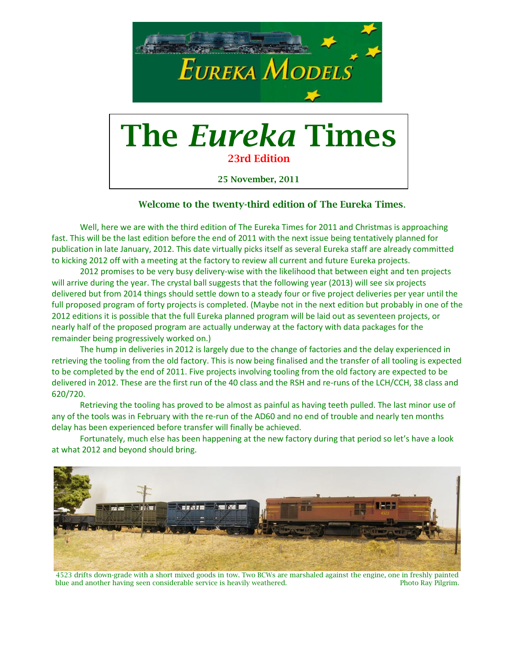

25 November, 2011

#### Welcome to the twenty-third edition of The Eureka Times.

Well, here we are with the third edition of The Eureka Times for 2011 and Christmas is approaching fast. This will be the last edition before the end of 2011 with the next issue being tentatively planned for publication in late January, 2012. This date virtually picks itself as several Eureka staff are already committed to kicking 2012 off with a meeting at the factory to review all current and future Eureka projects.

2012 promises to be very busy delivery-wise with the likelihood that between eight and ten projects will arrive during the year. The crystal ball suggests that the following year (2013) will see six projects delivered but from 2014 things should settle down to a steady four or five project deliveries per year until the full proposed program of forty projects is completed. (Maybe not in the next edition but probably in one of the 2012 editions it is possible that the full Eureka planned program will be laid out as seventeen projects, or nearly half of the proposed program are actually underway at the factory with data packages for the remainder being progressively worked on.)

The hump in deliveries in 2012 is largely due to the change of factories and the delay experienced in retrieving the tooling from the old factory. This is now being finalised and the transfer of all tooling is expected to be completed by the end of 2011. Five projects involving tooling from the old factory are expected to be delivered in 2012. These are the first run of the 40 class and the RSH and re-runs of the LCH/CCH, 38 class and 620/720.

Retrieving the tooling has proved to be almost as painful as having teeth pulled. The last minor use of any of the tools was in February with the re-run of the AD60 and no end of trouble and nearly ten months delay has been experienced before transfer will finally be achieved.

Fortunately, much else has been happening at the new factory during that period so let's have a look at what 2012 and beyond should bring.



4523 drifts down-grade with a short mixed goods in tow. Two BCWs are marshaled against the engine, one in freshly painted<br>blue and another having seen considerable service is heavily weathered. Photo Ray Pilgrim. blue and another having seen considerable service is heavily weathered.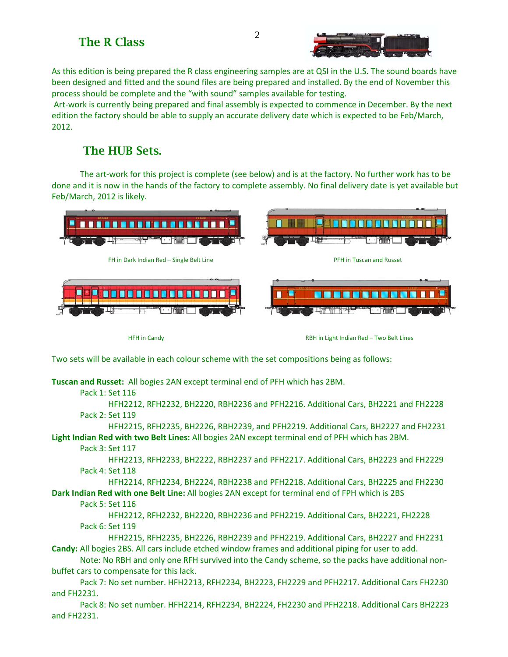

As this edition is being prepared the R class engineering samples are at QSI in the U.S. The sound boards have been designed and fitted and the sound files are being prepared and installed. By the end of November this process should be complete and the "with sound" samples available for testing.

Art-work is currently being prepared and final assembly is expected to commence in December. By the next edition the factory should be able to supply an accurate delivery date which is expected to be Feb/March, 2012.

# The HUB Sets.

The art-work for this project is complete (see below) and is at the factory. No further work has to be done and it is now in the hands of the factory to complete assembly. No final delivery date is yet available but Feb/March, 2012 is likely.



HFH in Candy RBH in Light Indian Red – Two Belt Lines

Two sets will be available in each colour scheme with the set compositions being as follows:

**Tuscan and Russet:** All bogies 2AN except terminal end of PFH which has 2BM.

#### Pack 1: Set 116

HFH2212, RFH2232, BH2220, RBH2236 and PFH2216. Additional Cars, BH2221 and FH2228 Pack 2: Set 119

HFH2215, RFH2235, BH2226, RBH2239, and PFH2219. Additional Cars, BH2227 and FH2231 **Light Indian Red with two Belt Lines:** All bogies 2AN except terminal end of PFH which has 2BM.

#### Pack 3: Set 117

HFH2213, RFH2233, BH2222, RBH2237 and PFH2217. Additional Cars, BH2223 and FH2229 Pack 4: Set 118

HFH2214, RFH2234, BH2224, RBH2238 and PFH2218. Additional Cars, BH2225 and FH2230 **Dark Indian Red with one Belt Line:** All bogies 2AN except for terminal end of FPH which is 2BS

#### Pack 5: Set 116

HFH2212, RFH2232, BH2220, RBH2236 and PFH2219. Additional Cars, BH2221, FH2228 Pack 6: Set 119

HFH2215, RFH2235, BH2226, RBH2239 and PFH2219. Additional Cars, BH2227 and FH2231 **Candy:** All bogies 2BS. All cars include etched window frames and additional piping for user to add.

Note: No RBH and only one RFH survived into the Candy scheme, so the packs have additional nonbuffet cars to compensate for this lack.

Pack 7: No set number. HFH2213, RFH2234, BH2223, FH2229 and PFH2217. Additional Cars FH2230 and FH2231.

Pack 8: No set number. HFH2214, RFH2234, BH2224, FH2230 and PFH2218. Additional Cars BH2223 and FH2231.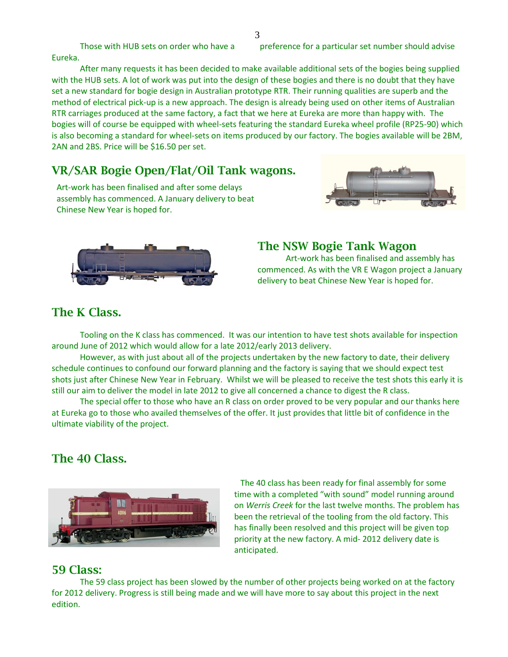Those with HUB sets on order who have a preference for a particular set number should advise

Eureka.

After many requests it has been decided to make available additional sets of the bogies being supplied with the HUB sets. A lot of work was put into the design of these bogies and there is no doubt that they have set a new standard for bogie design in Australian prototype RTR. Their running qualities are superb and the method of electrical pick-up is a new approach. The design is already being used on other items of Australian RTR carriages produced at the same factory, a fact that we here at Eureka are more than happy with. The bogies will of course be equipped with wheel-sets featuring the standard Eureka wheel profile (RP25-90) which is also becoming a standard for wheel-sets on items produced by our factory. The bogies available will be 2BM, 2AN and 2BS. Price will be \$16.50 per set.

## VR/SAR Bogie Open/Flat/Oil Tank wagons.

Art-work has been finalised and after some delays assembly has commenced. A January delivery to beat Chinese New Year is hoped for.





### The NSW Bogie Tank Wagon

Art-work has been finalised and assembly has commenced. As with the VR E Wagon project a January delivery to beat Chinese New Year is hoped for.

# The K Class.

Tooling on the K class has commenced. It was our intention to have test shots available for inspection around June of 2012 which would allow for a late 2012/early 2013 delivery.

However, as with just about all of the projects undertaken by the new factory to date, their delivery schedule continues to confound our forward planning and the factory is saying that we should expect test shots just after Chinese New Year in February. Whilst we will be pleased to receive the test shots this early it is still our aim to deliver the model in late 2012 to give all concerned a chance to digest the R class.

The special offer to those who have an R class on order proved to be very popular and our thanks here at Eureka go to those who availed themselves of the offer. It just provides that little bit of confidence in the ultimate viability of the project.

## The 40 Class.



 The 40 class has been ready for final assembly for some time with a completed "with sound" model running around on *Werris Creek* for the last twelve months. The problem has been the retrieval of the tooling from the old factory. This has finally been resolved and this project will be given top priority at the new factory. A mid- 2012 delivery date is anticipated.

### 59 Class:

The 59 class project has been slowed by the number of other projects being worked on at the factory for 2012 delivery. Progress is still being made and we will have more to say about this project in the next edition.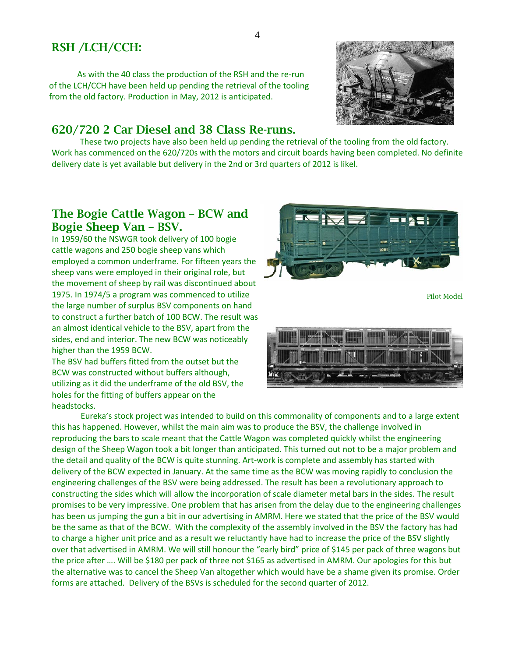# RSH /LCH/CCH:

As with the 40 class the production of the RSH and the re-run of the LCH/CCH have been held up pending the retrieval of the tooling from the old factory. Production in May, 2012 is anticipated.

#### 620/720 2 Car Diesel and 38 Class Re-runs.

These two projects have also been held up pending the retrieval of the tooling from the old factory. Work has commenced on the 620/720s with the motors and circuit boards having been completed. No definite delivery date is yet available but delivery in the 2nd or 3rd quarters of 2012 is likel.

## The Bogie Cattle Wagon – BCW and Bogie Sheep Van – BSV.

In 1959/60 the NSWGR took delivery of 100 bogie cattle wagons and 250 bogie sheep vans which employed a common underframe. For fifteen years the sheep vans were employed in their original role, but the movement of sheep by rail was discontinued about 1975. In 1974/5 a program was commenced to utilize the large number of surplus BSV components on hand to construct a further batch of 100 BCW. The result was an almost identical vehicle to the BSV, apart from the sides, end and interior. The new BCW was noticeably higher than the 1959 BCW.

The BSV had buffers fitted from the outset but the BCW was constructed without buffers although, utilizing as it did the underframe of the old BSV, the holes for the fitting of buffers appear on the headstocks.

 Eureka's stock project was intended to build on this commonality of components and to a large extent this has happened. However, whilst the main aim was to produce the BSV, the challenge involved in reproducing the bars to scale meant that the Cattle Wagon was completed quickly whilst the engineering design of the Sheep Wagon took a bit longer than anticipated. This turned out not to be a major problem and the detail and quality of the BCW is quite stunning. Art-work is complete and assembly has started with delivery of the BCW expected in January. At the same time as the BCW was moving rapidly to conclusion the engineering challenges of the BSV were being addressed. The result has been a revolutionary approach to constructing the sides which will allow the incorporation of scale diameter metal bars in the sides. The result promises to be very impressive. One problem that has arisen from the delay due to the engineering challenges has been us jumping the gun a bit in our advertising in AMRM. Here we stated that the price of the BSV would be the same as that of the BCW. With the complexity of the assembly involved in the BSV the factory has had to charge a higher unit price and as a result we reluctantly have had to increase the price of the BSV slightly over that advertised in AMRM. We will still honour the "early bird" price of \$145 per pack of three wagons but the price after …. Will be \$180 per pack of three not \$165 as advertised in AMRM. Our apologies for this but the alternative was to cancel the Sheep Van altogether which would have be a shame given its promise. Order forms are attached. Delivery of the BSVs is scheduled for the second quarter of 2012.





Pilot Model

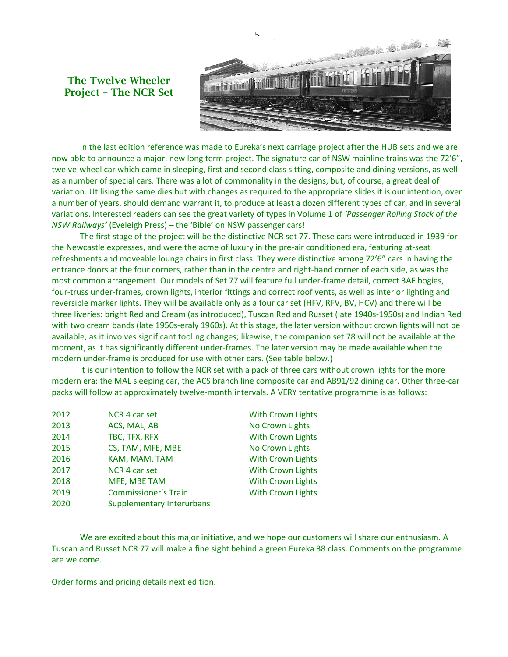



In the last edition reference was made to Eureka's next carriage project after the HUB sets and we are now able to announce a major, new long term project. The signature car of NSW mainline trains was the 72'6", twelve-wheel car which came in sleeping, first and second class sitting, composite and dining versions, as well as a number of special cars. There was a lot of commonality in the designs, but, of course, a great deal of variation. Utilising the same dies but with changes as required to the appropriate slides it is our intention, over a number of years, should demand warrant it, to produce at least a dozen different types of car, and in several variations. Interested readers can see the great variety of types in Volume 1 of *'Passenger Rolling Stock of the NSW Railways'* (Eveleigh Press) – the 'Bible' on NSW passenger cars!

The first stage of the project will be the distinctive NCR set 77. These cars were introduced in 1939 for the Newcastle expresses, and were the acme of luxury in the pre-air conditioned era, featuring at-seat refreshments and moveable lounge chairs in first class. They were distinctive among 72'6" cars in having the entrance doors at the four corners, rather than in the centre and right-hand corner of each side, as was the most common arrangement. Our models of Set 77 will feature full under-frame detail, correct 3AF bogies, four-truss under-frames, crown lights, interior fittings and correct roof vents, as well as interior lighting and reversible marker lights. They will be available only as a four car set (HFV, RFV, BV, HCV) and there will be three liveries: bright Red and Cream (as introduced), Tuscan Red and Russet (late 1940s-1950s) and Indian Red with two cream bands (late 1950s-eraly 1960s). At this stage, the later version without crown lights will not be available, as it involves significant tooling changes; likewise, the companion set 78 will not be available at the moment, as it has significantly different under-frames. The later version may be made available when the modern under-frame is produced for use with other cars. (See table below.)

It is our intention to follow the NCR set with a pack of three cars without crown lights for the more modern era: the MAL sleeping car, the ACS branch line composite car and AB91/92 dining car. Other three-car packs will follow at approximately twelve-month intervals. A VERY tentative programme is as follows:

| 2012 | NCR 4 car set                    | <b>With Crown Lights</b> |
|------|----------------------------------|--------------------------|
| 2013 | ACS, MAL, AB                     | No Crown Lights          |
| 2014 | TBC, TFX, RFX                    | <b>With Crown Lights</b> |
| 2015 | CS, TAM, MFE, MBE                | No Crown Lights          |
| 2016 | KAM, MAM, TAM                    | <b>With Crown Lights</b> |
| 2017 | NCR 4 car set                    | <b>With Crown Lights</b> |
| 2018 | MFE, MBE TAM                     | <b>With Crown Lights</b> |
| 2019 | <b>Commissioner's Train</b>      | <b>With Crown Lights</b> |
| 2020 | <b>Supplementary Interurbans</b> |                          |

We are excited about this major initiative, and we hope our customers will share our enthusiasm. A Tuscan and Russet NCR 77 will make a fine sight behind a green Eureka 38 class. Comments on the programme are welcome.

Order forms and pricing details next edition.